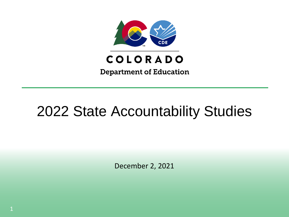

**Department of Education** 

# 2022 State Accountability Studies

December 2, 2021

1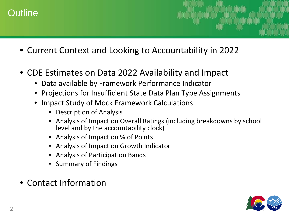### Outline

- Current Context and Looking to Accountability in 2022
- CDE Estimates on Data 2022 Availability and Impact
	- Data available by Framework Performance Indicator
	- Projections for Insufficient State Data Plan Type Assignments
	- Impact Study of Mock Framework Calculations
		- Description of Analysis
		- Analysis of Impact on Overall Ratings (including breakdowns by school level and by the accountability clock)
		- Analysis of Impact on % of Points
		- Analysis of Impact on Growth Indicator
		- Analysis of Participation Bands
		- Summary of Findings
- Contact Information

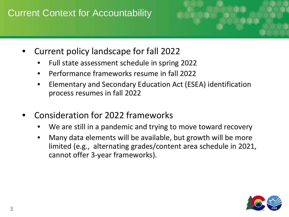#### Current Context for Accountability



- Current policy landscape for fall 2022
	- Full state assessment schedule in spring 2022
	- Performance frameworks resume in fall 2022
	- Elementary and Secondary Education Act (ESEA) identification process resumes in fall 2022
- Consideration for 2022 frameworks
	- We are still in a pandemic and trying to move toward recovery
	- Many data elements will be available, but growth will be more limited (e.g., alternating grades/content area schedule in 2021, cannot offer 3-year frameworks).

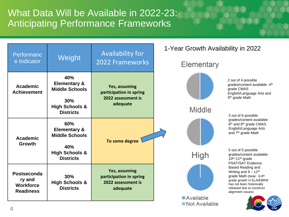What Data Will be Available in 2022-23: Anticipating Performance Frameworks

| Performanc<br>e Indicator                                     | Weight                                                                                                          | <b>Availability for</b><br>2022 Frameworks                                 | 1-Year Growth Availability in 2022<br><b>Elementary</b> |                                                                                                                                                                                                                                     |
|---------------------------------------------------------------|-----------------------------------------------------------------------------------------------------------------|----------------------------------------------------------------------------|---------------------------------------------------------|-------------------------------------------------------------------------------------------------------------------------------------------------------------------------------------------------------------------------------------|
| <b>Academic</b><br><b>Achievement</b>                         | 40%<br><b>Elementary &amp;</b><br><b>Middle Schools</b><br>30%<br><b>High Schools &amp;</b><br><b>Districts</b> | Yes, assuming<br>participation in spring<br>2022 assessment is<br>adequate | <b>Middle</b>                                           | 2 out of 4 possible<br>grades/content available: 4th<br>grade CMAS<br>English/Language Arts and<br>5 <sup>th</sup> grade Math<br>3 out of 6 possible                                                                                |
| <b>Academic</b><br><b>Growth</b>                              | 60%<br><b>Elementary &amp;</b><br><b>Middle Schools</b><br>40%<br><b>High Schools &amp;</b>                     | To some degree                                                             | High                                                    | grades/content available:<br>6 <sup>th</sup> and 8 <sup>th</sup> grade CMAS<br>English/Language Arts<br>and 7 <sup>th</sup> grade Math<br>5 out of 5 possible<br>grades/content available:                                          |
| Postseconda<br>ry and<br><b>Workforce</b><br><b>Readiness</b> | <b>Districts</b><br>30%<br><b>High Schools &amp;</b><br><b>Districts</b>                                        | Yes, assuming<br>participation in spring<br>2022 assessment is<br>adequate |                                                         | 10th-11th grade<br><b>PSAT/SAT Evidence</b><br>Based Reading and<br>Writing and $9 - 11^{th}$<br>grade Math (Note: 8-9th<br>grade growth in ELA/EBRW<br>has not been historically<br>released due to construct<br>alignment issues) |
|                                                               |                                                                                                                 |                                                                            | <b>Available</b><br><b>■Not Available</b>               |                                                                                                                                                                                                                                     |

4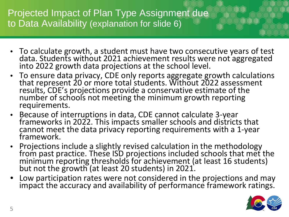Projected Impact of Plan Type Assignment due to Data Availability (explanation for slide 6)

- To calculate growth, a student must have two consecutive years of test data. Students without 2021 achievement results were not aggregated into 2022 growth data projections at the school level.
- To ensure data privacy, CDE only reports aggregate growth calculations that represent 20 or more total students. Without 2022 assessment results, CDE's projections provide a conservative estimate of the number of schools not meeting the minimum growth reporting requirements.
- Because of interruptions in data, CDE cannot calculate 3-year frameworks in 2022. This impacts smaller schools and districts that cannot meet the data privacy reporting requirements with a 1-year<br>framework.
- Projections include a slightly revised calculation in the methodology<br>from past practice. These ISD projections included schools that met the from past practice. These ISD projections included schools that met the<br>minimum reporting thresholds for achievement (at least 16 students) but not the growth (at least 20 students) in 2021.
- Low participation rates were not considered in the projections and may impact the accuracy and availability of performance framework ratings.

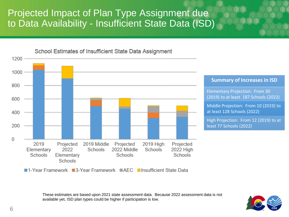#### Projected Impact of Plan Type Assignment due to Data Availability - Insufficient State Data (ISD)



These estimates are based upon 2021 state assessment data. Because 2022 assessment data is not available yet, ISD plan types could be higher if participation is low.

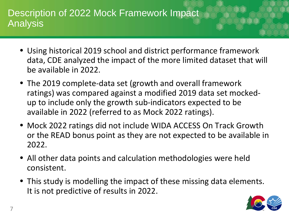#### Description of 2022 Mock Framework Impact Analysis

- Using historical 2019 school and district performance framework data, CDE analyzed the impact of the more limited dataset that will be available in 2022.
- The 2019 complete-data set (growth and overall framework ratings) was compared against a modified 2019 data set mockedup to include only the growth sub-indicators expected to be available in 2022 (referred to as Mock 2022 ratings).
- Mock 2022 ratings did not include WIDA ACCESS On Track Growth or the READ bonus point as they are not expected to be available in 2022.
- All other data points and calculation methodologies were held consistent.
- This study is modelling the impact of these missing data elements. It is not predictive of results in 2022.

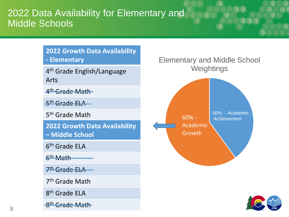#### 2022 Data Availability for Elementary and Middle Schools

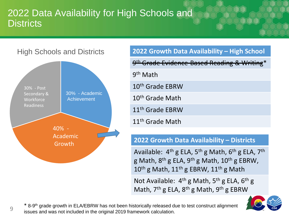#### 2022 Data Availability for High Schools and **Districts**

#### High Schools and Districts



9

| 2022 Growth Data Availability - High School             |
|---------------------------------------------------------|
| 9 <sup>th</sup> Grade Evidence-Based Reading & Writing* |
| 9 <sup>th</sup> Math                                    |
| 10 <sup>th</sup> Grade EBRW                             |
| 10 <sup>th</sup> Grade Math                             |
| 11 <sup>th</sup> Grade EBRW                             |
| 11 <sup>th</sup> Grade Math                             |

#### **2022 Growth Data Availability – Districts**

Available:  $4<sup>th</sup>$  g ELA,  $5<sup>th</sup>$  g Math,  $6<sup>th</sup>$  g ELA,  $7<sup>th</sup>$ g Math,  $8^{th}$  g ELA,  $9^{th}$  g Math,  $10^{th}$  g EBRW,  $10^{\text{th}}$  g Math,  $11^{\text{th}}$  g EBRW,  $11^{\text{th}}$  g Math

Not Available:  $4^{th}$  g Math,  $5^{th}$  g ELA,  $6^{th}$  g Math,  $7<sup>th</sup>$  g ELA,  $8<sup>th</sup>$  g Math,  $9<sup>th</sup>$  g EBRW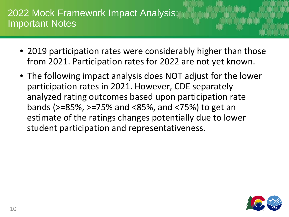#### 2022 Mock Framework Impact Analysis: Important Notes

- 2019 participation rates were considerably higher than those from 2021. Participation rates for 2022 are not yet known.
- The following impact analysis does NOT adjust for the lower participation rates in 2021. However, CDE separately analyzed rating outcomes based upon participation rate bands (>=85%, >=75% and <85%, and <75%) to get an estimate of the ratings changes potentially due to lower student participation and representativeness.

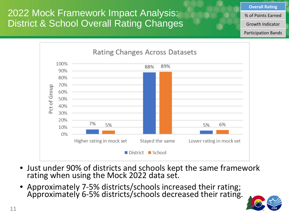2022 Mock Framework Impact Analysis: District & School Overall Rating Changes



- Just under 90% of districts and schools kept the same framework rating when using the Mock 2022 data set.
- Approximately 7-5% districts/schools increased their rating; Approximately 6-5% districts/schools decreased their rating.



**Overall Rating**

% of Points Earned

Growth Indicator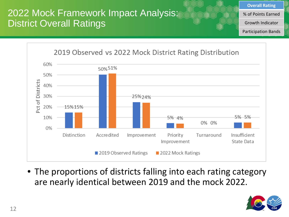## 2022 Mock Framework Impact Analysis: District Overall Ratings

**Overall Rating**

% of Points Earned

Growth Indicator

Participation Bands



• The proportions of districts falling into each rating category are nearly identical between 2019 and the mock 2022.

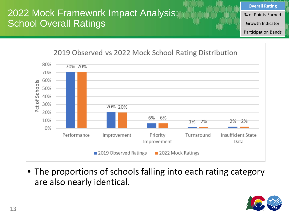### 2022 Mock Framework Impact Analysis: School Overall Ratings

**Overall Rating**

% of Points Earned

Growth Indicator

Participation Bands



• The proportions of schools falling into each rating category are also nearly identical.

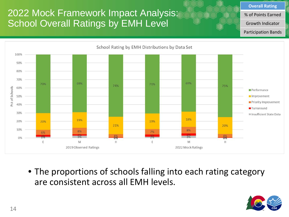## 2022 Mock Framework Impact Analysis: School Overall Ratings by EMH Level

**Overall Rating**

% of Points Earned

Growth Indicator

Participation Bands



• The proportions of schools falling into each rating category are consistent across all EMH levels.

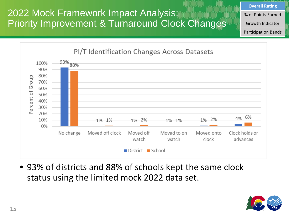2022 Mock Framework Impact Analysis: Priority Improvement & Turnaround Clock Changes **Overall Rating**

% of Points Earned

Growth Indicator

Participation Bands



• 93% of districts and 88% of schools kept the same clock status using the limited mock 2022 data set.

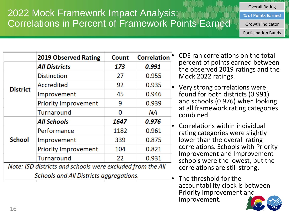## 2022 Mock Framework Impact Analysis: Correlations in Percent of Framework Points Earned

**% of Points Earned**

Overall Rating

Growth Indicator

Participation Bands

|                                                            | <b>2019 Observed Rating</b>             | Count | <b>Correlation</b> |
|------------------------------------------------------------|-----------------------------------------|-------|--------------------|
|                                                            | <b>All Districts</b>                    | 173   | 0.991              |
|                                                            | <b>Distinction</b>                      | 27    | 0.955              |
| <b>District</b>                                            | Accredited                              | 92    | 0.935              |
|                                                            | Improvement                             | 45    | 0.946              |
|                                                            | <b>Priority Improvement</b>             | 9     | 0.939              |
|                                                            | Turnaround                              | 0     | ΝA                 |
|                                                            | <b>All Schools</b>                      | 1647  | 0.976              |
|                                                            | Performance                             | 1182  | 0.961              |
| <b>School</b>                                              | Improvement                             | 339   | 0.875              |
|                                                            | <b>Priority Improvement</b>             | 104   | 0.821              |
|                                                            | Turnaround                              | 22    | 0.931              |
| Note: ISD districts and schools were excluded from the All |                                         |       |                    |
|                                                            | Schools and All Districts aggregations. |       |                    |

• CDE ran correlations on the total percent of points earned between the observed 2019 ratings and the Mock 2022 ratings.

• Very strong correlations were found for both districts (0.991) and schools (0.976) when looking at all framework rating categories combined.

• Correlations within individual rating categories were slightly lower than the overall rating correlations. Schools with Priority Improvement and Improvement schools were the lowest, but the correlations are still strong.

The threshold for the accountability clock is between Priority Improvement and Improvement.

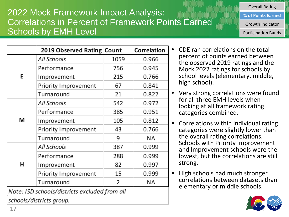#### Turnaround 21 All Schools 542 0.972 Performance 385 0.951 М Improvement 105 0.812 Priority Improvement 0.766 43 Turnaround 9 NA. All Schools 387 0.999 Performance 288 0.999 н 82 0.997 Improvement Priority Improvement 15 0.999 Turnaround 2 **NA** Note: ISD schools/districts excluded from all

2019 Observed Rating Count

All Schools

E

Performance

Improvement

Priority Improvement

schools/districts group.

17

#### 756 0.945 Mock 2022 ratings for schools by school levels (elementary, middle, 215 0.766 high school). 0.841 67 0.822

**Correlation** 

0.966

• Very strong correlations were found for all three EMH levels when looking at all framework rating categories combined.

• CDE ran correlations on the total

percent of points earned between the observed 2019 ratings and the

• Correlations within individual rating categories were slightly lower than the overall rating correlations. Schools with Priority Improvement and Improvement schools were the lowest, but the correlations are still strong.

• High schools had much stronger correlations between datasets than elementary or middle schools.



#### 2022 Mock Framework Impact Analysis: Correlations in Percent of Framework Points Earned Schools by EMH Level

1059

Overall Rating

**% of Points Earned**

Growth Indicator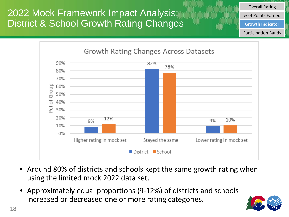2022 Mock Framework Impact Analysis: District & School Growth Rating Changes



- Around 80% of districts and schools kept the same growth rating when using the limited mock 2022 data set.
- Approximately equal proportions (9-12%) of districts and schools increased or decreased one or more rating categories.



Overall Rating % of Points Earned

**Growth Indicator**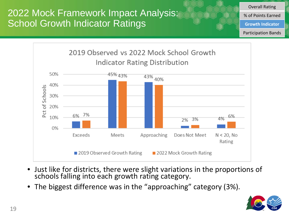2022 Mock Framework Impact Analysis: School Growth Indicator Ratings

Overall Rating

% of Points Earned

**Growth Indicator**



- Just like for districts, there were slight variations in the proportions of schools falling into each growth rating category.
- The biggest difference was in the "approaching" category (3%).

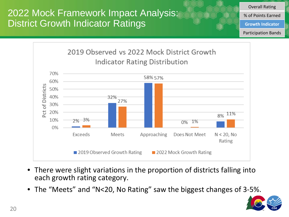2022 Mock Framework Impact Analysis: District Growth Indicator Ratings

> 2019 Observed vs 2022 Mock District Growth Indicator Rating Distribution 70% 58% 57% 60% of Districts 50% 40% 32% 27% 30%  $\overline{c}$ 20% 8% 11% 2% 3% 10% 0% 1% 0% Exceeds  $N < 20$ , No Meets Approaching Does Not Meet Rating 2019 Observed Growth Rating 2022 Mock Growth Rating

- There were slight variations in the proportion of districts falling into each growth rating category.
- The "Meets" and "N<20, No Rating" saw the biggest changes of 3-5%.



Overall Rating % of Points Earned

**Growth Indicator**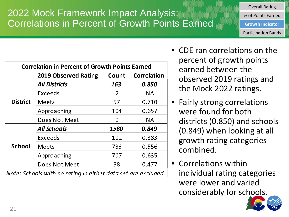## 2022 Mock Framework Impact Analysis: Correlations in Percent of Growth Points Earned

| <b>Correlation in Percent of Growth Points Earned</b> |                                                              |       |             |
|-------------------------------------------------------|--------------------------------------------------------------|-------|-------------|
|                                                       | 2019 Observed Rating                                         | Count | Correlation |
|                                                       | <b>All Districts</b>                                         | 163   | 0.850       |
|                                                       | Exceeds                                                      | 2     | <b>NA</b>   |
| <b>District</b>                                       | <b>Meets</b>                                                 | 57    | 0.710       |
|                                                       | Approaching                                                  | 104   | 0.657       |
|                                                       | Does Not Meet                                                | 0     | <b>NA</b>   |
|                                                       | <b>All Schools</b>                                           | 1580  | 0.849       |
|                                                       | Exceeds                                                      | 102   | 0.383       |
| <b>School</b>                                         | <b>Meets</b>                                                 | 733   | 0.556       |
|                                                       | Approaching                                                  | 707   | 0.635       |
|                                                       | Does Not Meet                                                | 38    | 0.477       |
|                                                       | Note: Schools with no rating in either data set are excluded |       |             |

Schools with no rating in either aata set are excluded.

• CDE ran correlations on the percent of growth points earned between the observed 2019 ratings and the Mock 2022 ratings.

Overall Rating % of Points Earned

**Growth Indicator**

- Fairly strong correlations were found for both districts (0.850) and schools (0.849) when looking at all growth rating categories combined.
- Correlations within individual rating categories were lower and varied considerably for schools.

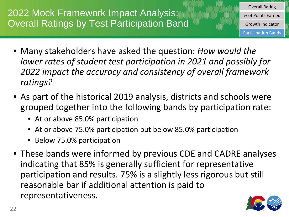## 2022 Mock Framework Impact Analysis: Overall Ratings by Test Participation Band

- Many stakeholders have asked the question: *How would the lower rates of student test participation in 2021 and possibly for 2022 impact the accuracy and consistency of overall framework ratings?*
- As part of the historical 2019 analysis, districts and schools were grouped together into the following bands by participation rate:
	- At or above 85.0% participation
	- At or above 75.0% participation but below 85.0% participation
	- Below 75.0% participation
- These bands were informed by previous CDE and CADRE analyses indicating that 85% is generally sufficient for representative participation and results. 75% is a slightly less rigorous but still reasonable bar if additional attention is paid to representativeness.



Overall Rating % of Points Earned

Growth Indicator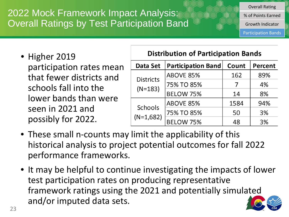2022 Mock Framework Impact Analysis: Overall Ratings by Test Participation Band Overall Rating

% of Points Earned

Growth Indicator

Participation Bands

• Higher 2019 participation rates mean that fewer districts and schools fall into the lower bands than were seen in 2021 and possibly for 2022.

#### **Distribution of Participation Bands**

| Data Set                      | <b>Participation Band</b> | Count | Percent |
|-------------------------------|---------------------------|-------|---------|
|                               | <b>ABOVE 85%</b>          | 162   | 89%     |
| <b>Districts</b><br>$(N=183)$ | 75% TO 85%                |       | 4%      |
|                               | <b>BELOW 75%</b>          | 14    | 8%      |
|                               | ABOVE 85%                 | 1584  | 94%     |
| Schools                       | 75% TO 85%                | 50    | 3%      |
| $(N=1,682)$                   | <b>BELOW 75%</b>          | 48    | 3%      |

- These small n-counts may limit the applicability of this historical analysis to project potential outcomes for fall 2022 performance frameworks.
- It may be helpful to continue investigating the impacts of lower test participation rates on producing representative framework ratings using the 2021 and potentially simulated and/or imputed data sets.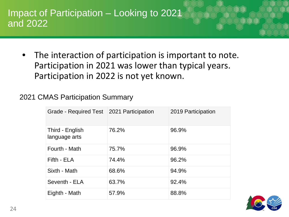#### Impact of Participation – Looking to 2021 and 2022

The interaction of participation is important to note. Participation in 2021 was lower than typical years. Participation in 2022 is not yet known.

#### 2021 CMAS Participation Summary

| Grade - Required Test   2021 Participation |       | 2019 Participation |
|--------------------------------------------|-------|--------------------|
| Third - English<br>language arts           | 76.2% | 96.9%              |
| Fourth - Math                              | 75.7% | 96.9%              |
| Fifth - ELA                                | 74.4% | 96.2%              |
| Sixth - Math                               | 68.6% | 94.9%              |
| Seventh - ELA                              | 63.7% | 92.4%              |
| Eighth - Math                              | 57.9% | 88.8%              |

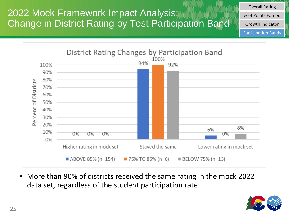2022 Mock Framework Impact Analysis: Change in District Rating by Test Participation Band Overall Rating

% of Points Earned

Growth Indicator

Participation Bands



• More than 90% of districts received the same rating in the mock 2022 data set, regardless of the student participation rate.

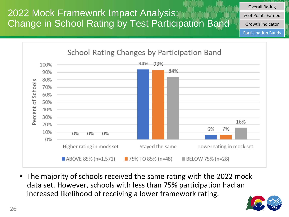2022 Mock Framework Impact Analysis: Change in School Rating by Test Participation Band Overall Rating

% of Points Earned

Growth Indicator

Participation Bands



• The majority of schools received the same rating with the 2022 mock data set. However, schools with less than 75% participation had an increased likelihood of receiving a lower framework rating.

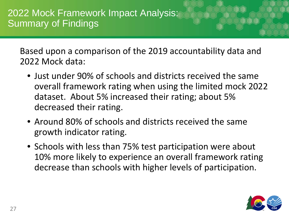Based upon a comparison of the 2019 accountability data and 2022 Mock data:

- Just under 90% of schools and districts received the same overall framework rating when using the limited mock 2022 dataset. About 5% increased their rating; about 5% decreased their rating.
- Around 80% of schools and districts received the same growth indicator rating.
- Schools with less than 75% test participation were about 10% more likely to experience an overall framework rating decrease than schools with higher levels of participation.

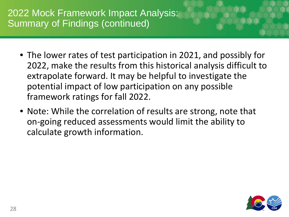2022 Mock Framework Impact Analysis: Summary of Findings (continued)

- The lower rates of test participation in 2021, and possibly for 2022, make the results from this historical analysis difficult to extrapolate forward. It may be helpful to investigate the potential impact of low participation on any possible framework ratings for fall 2022.
- Note: While the correlation of results are strong, note that on-going reduced assessments would limit the ability to calculate growth information.